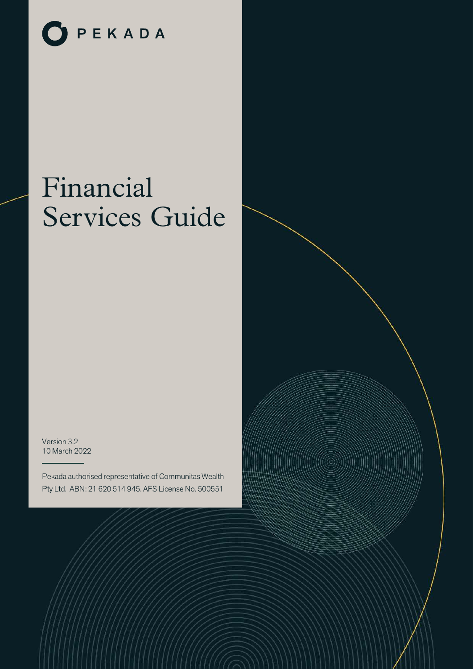

# Financial Services Guide

Version 3.2 10 March 2022

Pekada authorised representative of Communitas Wealth Pty Ltd. ABN: 21 620 514 945. AFS License No. 500551

i dhe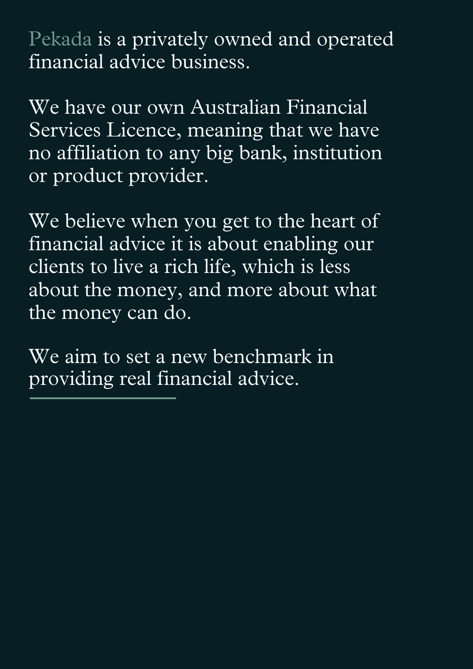Pekada is a privately owned and operated financial advice business.

We have our own Australian Financial Services Licence, meaning that we have no affiliation to any big bank, institution or product provider.

We believe when you get to the heart of financial advice it is about enabling our clients to live a rich life, which is less about the money, and more about what the money can do.

We aim to set a new benchmark in providing real financial advice.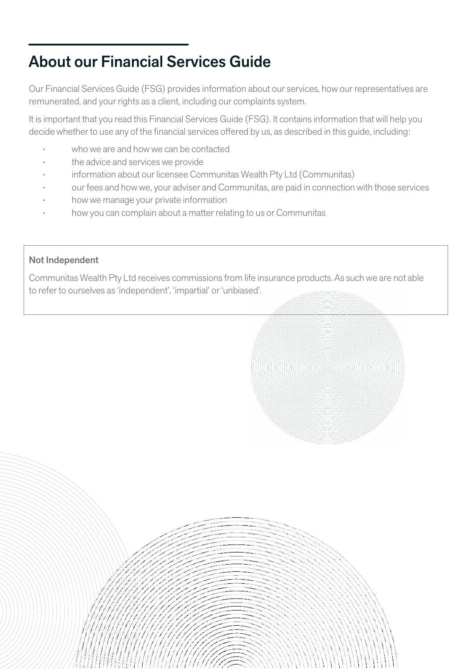# About our Financial Services Guide

Our Financial Services Guide (FSG) provides information about our services, how our representatives are remunerated, and your rights as a client, including our complaints system.

It is important that you read this Financial Services Guide (FSG). It contains information that will help you decide whether to use any of the financial services offered by us, as described in this guide, including:

- who we are and how we can be contacted
- the advice and services we provide
- information about our licensee Communitas Wealth Pty Ltd (Communitas)
- our fees and how we, your adviser and Communitas, are paid in connection with those services
- how we manage your private information
- how you can complain about a matter relating to us or Communitas

#### Not Independent

Communitas Wealth Pty Ltd receives commissions from life insurance products. As such we are not able to refer to ourselves as 'independent', 'impartial' or 'unbiased'.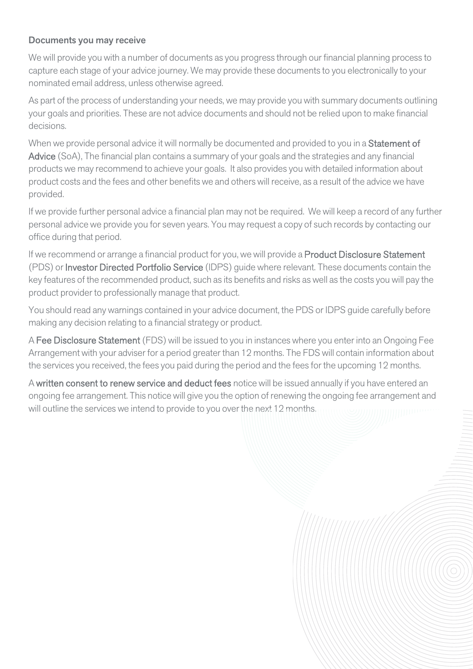#### Documents you may receive

We will provide you with a number of documents as you progress through our financial planning process to capture each stage of your advice journey. We may provide these documents to you electronically to your nominated email address, unless otherwise agreed.

As part of the process of understanding your needs, we may provide you with summary documents outlining your goals and priorities. These are not advice documents and should not be relied upon to make financial decisions.

When we provide personal advice it will normally be documented and provided to you in a Statement of Advice (SoA), The financial plan contains a summary of your goals and the strategies and any financial products we may recommend to achieve your goals. It also provides you with detailed information about product costs and the fees and other benefits we and others will receive, as a result of the advice we have provided.

If we provide further personal advice a financial plan may not be required. We will keep a record of any further personal advice we provide you for seven years. You may request a copy of such records by contacting our office during that period.

If we recommend or arrange a financial product for you, we will provide a **Product Disclosure Statement** (PDS) or Investor Directed Portfolio Service (IDPS) guide where relevant. These documents contain the key features of the recommended product, such as its benefits and risks as well as the costs you will pay the product provider to professionally manage that product.

You should read any warnings contained in your advice document, the PDS or IDPS guide carefully before making any decision relating to a financial strategy or product.

A Fee Disclosure Statement (FDS) will be issued to you in instances where you enter into an Ongoing Fee Arrangement with your adviser for a period greater than 12 months. The FDS will contain information about the services you received, the fees you paid during the period and the fees for the upcoming 12 months.

A written consent to renew service and deduct fees notice will be issued annually if you have entered an ongoing fee arrangement. This notice will give you the option of renewing the ongoing fee arrangement and will outline the services we intend to provide to you over the next 12 months.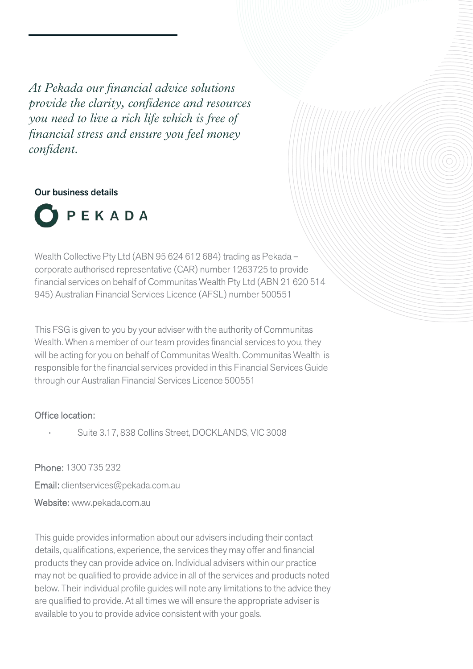*At Pekada our financial advice solutions provide the clarity, confidence and resources you need to live a rich life which is free of financial stress and ensure you feel money confident.*

#### Our business details



Wealth Collective Pty Ltd (ABN 95 624 612 684) trading as Pekada – corporate authorised representative (CAR) number 1263725 to provide financial services on behalf of Communitas Wealth Pty Ltd (ABN 21 620 514 945) Australian Financial Services Licence (AFSL) number 500551

This FSG is given to you by your adviser with the authority of Communitas Wealth. When a member of our team provides financial services to you, they will be acting for you on behalf of Communitas Wealth. Communitas Wealth is responsible for the financial services provided in this Financial Services Guide through our Australian Financial Services Licence 500551

#### Office location:

• Suite 3.17, 838 Collins Street, DOCKLANDS, VIC 3008

Phone: 1300 735 232 Email: clientservices@pekada.com.au Website: www.pekada.com.au

This guide provides information about our advisers including their contact details, qualifications, experience, the services they may offer and financial products they can provide advice on. Individual advisers within our practice may not be qualified to provide advice in all of the services and products noted below. Their individual profile guides will note any limitations to the advice they are qualified to provide. At all times we will ensure the appropriate adviser is available to you to provide advice consistent with your goals.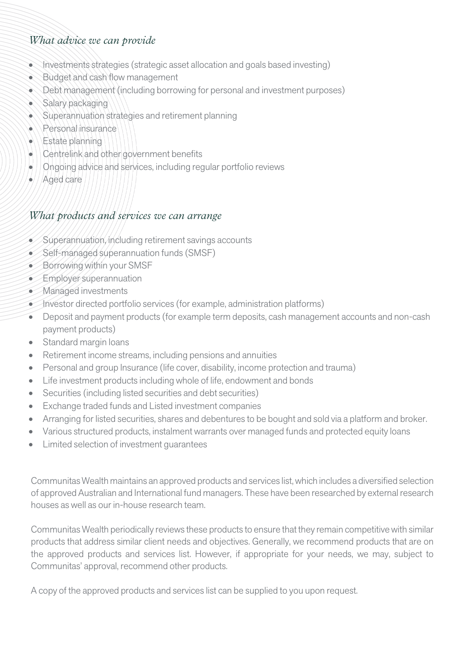# *What advice we can provide*

- Investments strategies (strategic asset allocation and goals based investing)
- Budget and cash flow management
- Debt management (including borrowing for personal and investment purposes)
- Salary packaging
- Superannuation strategies and retirement planning
- $\bullet$  Personal insurance
- Estate planning
- Centrelink and other government benefits
- Ongoing advice and services, including regular portfolio reviews
- $\bullet$  / Aged care

### *What products and services we can arrange*

- $\leq$  Superannuation, including retirement savings accounts
- Self-managed superannuation funds (SMSF)
- Borrowing within your SMSF
- Employer superannuation
- Managed investments
- Investor directed portfolio services (for example, administration platforms)
- Deposit and payment products (for example term deposits, cash management accounts and non-cash payment products)
- Standard margin loans
- Retirement income streams, including pensions and annuities
- Personal and group Insurance (life cover, disability, income protection and trauma)
- Life investment products including whole of life, endowment and bonds
- Securities (including listed securities and debt securities)
- Exchange traded funds and Listed investment companies
- Arranging for listed securities, shares and debentures to be bought and sold via a platform and broker.
- Various structured products, instalment warrants over managed funds and protected equity loans
- Limited selection of investment guarantees

Communitas Wealth maintains an approved products and services list, which includes a diversified selection of approved Australian and International fund managers. These have been researched by external research houses as well as our in-house research team.

Communitas Wealth periodically reviews these products to ensure that they remain competitive with similar products that address similar client needs and objectives. Generally, we recommend products that are on the approved products and services list. However, if appropriate for your needs, we may, subject to Communitas' approval, recommend other products.

A copy of the approved products and services list can be supplied to you upon request.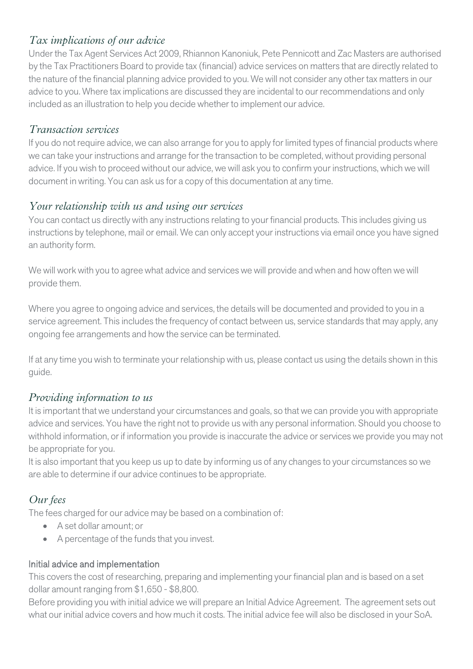# *Tax implications of our advice*

Under the Tax Agent Services Act 2009, Rhiannon Kanoniuk, Pete Pennicott and Zac Masters are authorised by the Tax Practitioners Board to provide tax (financial) advice services on matters that are directly related to the nature of the financial planning advice provided to you. We will not consider any other tax matters in our advice to you. Where tax implications are discussed they are incidental to our recommendations and only included as an illustration to help you decide whether to implement our advice.

#### *Transaction services*

If you do not require advice, we can also arrange for you to apply for limited types of financial products where we can take your instructions and arrange for the transaction to be completed, without providing personal advice. If you wish to proceed without our advice, we will ask you to confirm your instructions, which we will document in writing. You can ask us for a copy of this documentation at any time.

# *Your relationship with us and using our services*

You can contact us directly with any instructions relating to your financial products. This includes giving us instructions by telephone, mail or email. We can only accept your instructions via email once you have signed an authority form.

We will work with you to agree what advice and services we will provide and when and how often we will provide them.

Where you agree to ongoing advice and services, the details will be documented and provided to you in a service agreement. This includes the frequency of contact between us, service standards that may apply, any ongoing fee arrangements and how the service can be terminated.

If at any time you wish to terminate your relationship with us, please contact us using the details shown in this guide.

# *Providing information to us*

It is important that we understand your circumstances and goals, so that we can provide you with appropriate advice and services. You have the right not to provide us with any personal information. Should you choose to withhold information, or if information you provide is inaccurate the advice or services we provide you may not be appropriate for you.

It is also important that you keep us up to date by informing us of any changes to your circumstances so we are able to determine if our advice continues to be appropriate.

# *Our fees*

The fees charged for our advice may be based on a combination of:

- A set dollar amount; or
- A percentage of the funds that you invest.

#### Initial advice and implementation

This covers the cost of researching, preparing and implementing your financial plan and is based on a set dollar amount ranging from \$1,650 - \$8,800.

Before providing you with initial advice we will prepare an Initial Advice Agreement. The agreement sets out what our initial advice covers and how much it costs. The initial advice fee will also be disclosed in your SoA.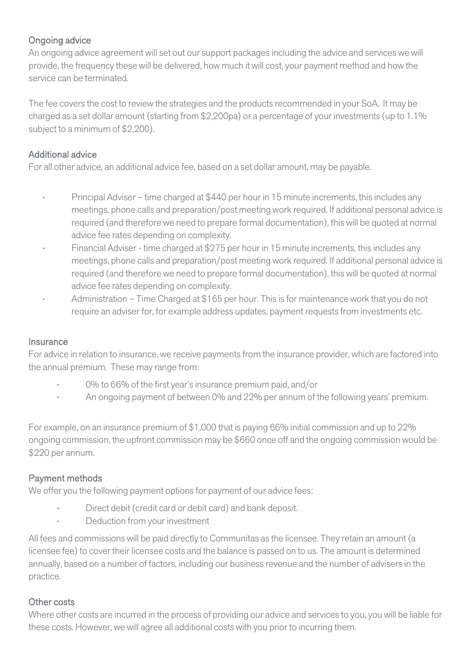# Ongoing advice

An ongoing advice agreement will set out our support packages including the advice and services we will provide, the frequency these will be delivered, how much it will cost, your payment method and how the service can be terminated.

The fee covers the cost to review the strategies and the products recommended in your SoA. It may be charged as a set dollar amount (starting from \$2,200pa) or a percentage of your investments (up to 1.1% subject to a minimum of \$2,200).

### Additional advice

For all other advice, an additional advice fee, based on a set dollar amount, may be payable.

- Principal Adviser time charged at \$440 per hour in 15 minute increments, this includes any meetings, phone calls and preparation/post meeting work required. If additional personal advice is required (and therefore we need to prepare formal documentation), this will be quoted at normal advice fee rates depending on complexity.
- Financial Adviser time charged at \$275 per hour in 15 minute increments, this includes any meetings, phone calls and preparation/post meeting work required. If additional personal advice is required (and therefore we need to prepare formal documentation), this will be quoted at normal advice fee rates depending on complexity.
- Administration Time Charged at \$165 per hour. This is for maintenance work that you do not require an adviser for, for example address updates, payment requests from investments etc.

#### **Insurance**

For advice in relation to insurance, we receive payments from the insurance provider, which are factored into the annual premium. These may range from:

- 0% to 66% of the first year's insurance premium paid, and/or
- An ongoing payment of between 0% and 22% per annum of the following years' premium.

For example, on an insurance premium of \$1,000 that is paying 66% initial commission and up to 22% ongoing commission, the upfront commission may be \$660 once off and the ongoing commission would be \$220 per annum.

# Payment methods

We offer you the following payment options for payment of our advice fees:

- Direct debit (credit card or debit card) and bank deposit.
- Deduction from your investment

All fees and commissions will be paid directly to Communitas as the licensee. They retain an amount (a licensee fee) to cover their licensee costs and the balance is passed on to us. The amount is determined annually, based on a number of factors, including our business revenue and the number of advisers in the practice.

#### Other costs

Where other costs are incurred in the process of providing our advice and services to you, you will be liable for these costs. However, we will agree all additional costs with you prior to incurring them.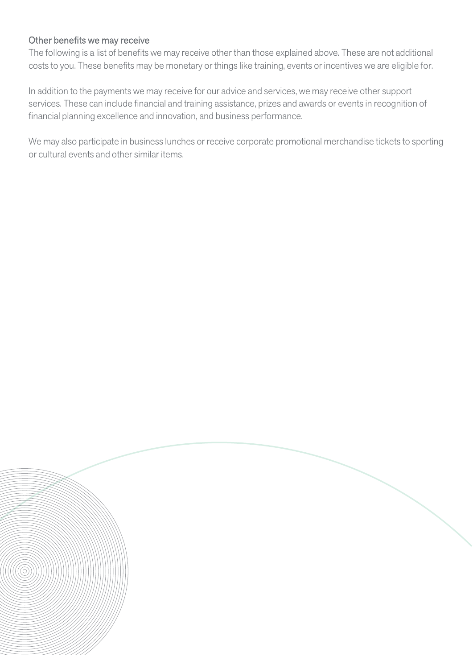#### Other benefits we may receive

The following is a list of benefits we may receive other than those explained above. These are not additional costs to you. These benefits may be monetary or things like training, events or incentives we are eligible for.

In addition to the payments we may receive for our advice and services, we may receive other support services. These can include financial and training assistance, prizes and awards or events in recognition of financial planning excellence and innovation, and business performance.

We may also participate in business lunches or receive corporate promotional merchandise tickets to sporting or cultural events and other similar items.

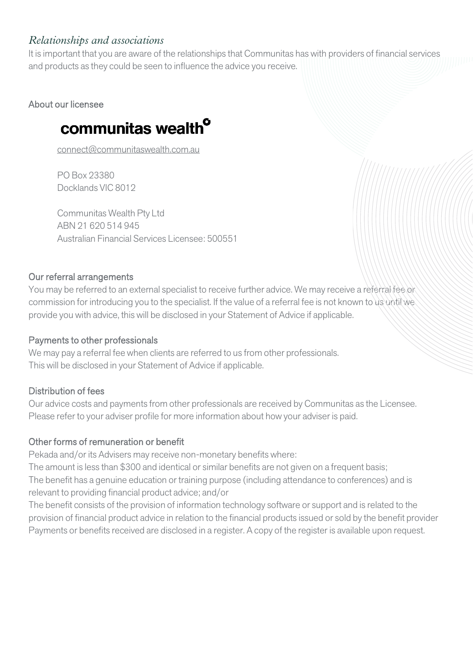# *Relationships and associations*

It is important that you are aware of the relationships that Communitas has with providers of financial services and products as they could be seen to influence the advice you receive.

About our licensee

# communitas wealth<sup>o</sup>

[connect@communitaswealth.com.au](mailto:connect@communitaswealth.com.au)

PO Box 23380 Docklands VIC 8012

Communitas Wealth Pty Ltd ABN 21 620 514 945 Australian Financial Services Licensee: 500551

#### Our referral arrangements

You may be referred to an external specialist to receive further advice. We may receive a referral fee or commission for introducing you to the specialist. If the value of a referral fee is not known to us until we provide you with advice, this will be disclosed in your Statement of Advice if applicable.

#### Payments to other professionals

We may pay a referral fee when clients are referred to us from other professionals. This will be disclosed in your Statement of Advice if applicable.

#### Distribution of fees

Our advice costs and payments from other professionals are received by Communitas as the Licensee. Please refer to your adviser profile for more information about how your adviser is paid.

#### Other forms of remuneration or benefit

Pekada and/or its Advisers may receive non-monetary benefits where:

The amount is less than \$300 and identical or similar benefits are not given on a frequent basis; The benefit has a genuine education or training purpose (including attendance to conferences) and is relevant to providing financial product advice; and/or

The benefit consists of the provision of information technology software or support and is related to the provision of financial product advice in relation to the financial products issued or sold by the benefit provider Payments or benefits received are disclosed in a register. A copy of the register is available upon request.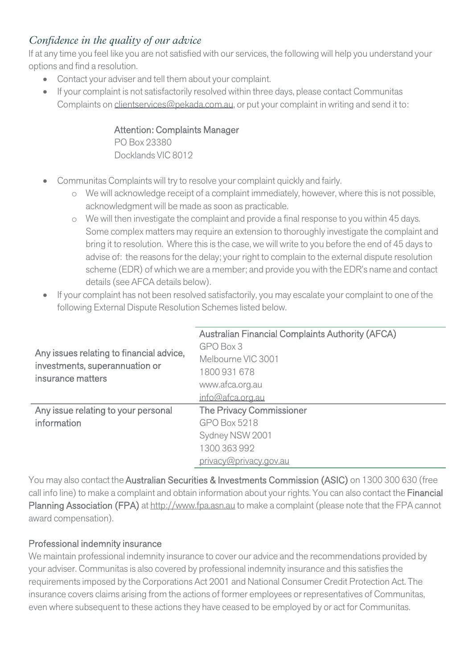# *Confidence in the quality of our advice*

If at any time you feel like you are not satisfied with our services, the following will help you understand your options and find a resolution.

- Contact your adviser and tell them about your complaint.
- If your complaint is not satisfactorily resolved within three days, please contact Communitas Complaints on [clientservices@pekada.com.au,](mailto:clientservices@pekada.com.au) or put your complaint in writing and send it to:

#### Attention: Complaints Manager

PO Box 23380 Docklands VIC 8012

- Communitas Complaints will try to resolve your complaint quickly and fairly.
	- o We will acknowledge receipt of a complaint immediately, however, where this is not possible, acknowledgment will be made as soon as practicable.
	- o We will then investigate the complaint and provide a final response to you within 45 days. Some complex matters may require an extension to thoroughly investigate the complaint and bring it to resolution. Where this is the case, we will write to you before the end of 45 days to advise of: the reasons for the delay; your right to complain to the external dispute resolution scheme (EDR) of which we are a member; and provide you with the EDR's name and contact details (see AFCA details below).
- If your complaint has not been resolved satisfactorily, you may escalate your complaint to one of the following External Dispute Resolution Schemes listed below.

| Any issues relating to financial advice,<br>investments, superannuation or<br>insurance matters | <b>Australian Financial Complaints Authority (AFCA)</b> |
|-------------------------------------------------------------------------------------------------|---------------------------------------------------------|
|                                                                                                 | GPO Box 3                                               |
|                                                                                                 | Melbourne VIC 3001                                      |
|                                                                                                 | 1800 931 678                                            |
|                                                                                                 | www.afca.org.au                                         |
|                                                                                                 | info@afca.org.au                                        |
| Any issue relating to your personal                                                             | The Privacy Commissioner                                |
| information                                                                                     | <b>GPO Box 5218</b>                                     |
|                                                                                                 | Sydney NSW 2001                                         |
|                                                                                                 | 1300 363 992                                            |
|                                                                                                 | privacy@privacy.gov.au                                  |

You may also contact the Australian Securities & Investments Commission (ASIC) on 1300 300 630 (free call info line) to make a complaint and obtain information about your rights. You can also contact the Financial Planning Association (FPA) a[t http://www.fpa.asn.au](http://www.fpa.asn.au/) to make a complaint (please note that the FPA cannot award compensation).

#### Professional indemnity insurance

We maintain professional indemnity insurance to cover our advice and the recommendations provided by your adviser. Communitas is also covered by professional indemnity insurance and this satisfies the requirements imposed by the Corporations Act 2001 and National Consumer Credit Protection Act. The insurance covers claims arising from the actions of former employees or representatives of Communitas, even where subsequent to these actions they have ceased to be employed by or act for Communitas.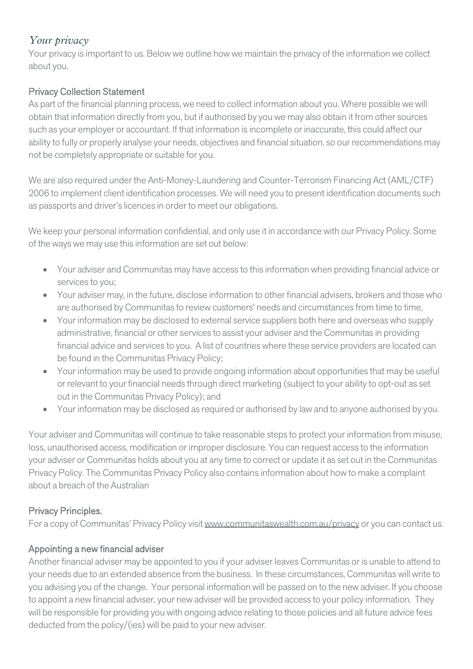# *Your privacy*

Your privacy is important to us. Below we outline how we maintain the privacy of the information we collect about you.

# Privacy Collection Statement

As part of the financial planning process, we need to collect information about you. Where possible we will obtain that information directly from you, but if authorised by you we may also obtain it from other sources such as your employer or accountant. If that information is incomplete or inaccurate, this could affect our ability to fully or properly analyse your needs, objectives and financial situation, so our recommendations may not be completely appropriate or suitable for you.

We are also required under the Anti-Money-Laundering and Counter-Terrorism Financing Act (AML/CTF) 2006 to implement client identification processes. We will need you to present identification documents such as passports and driver's licences in order to meet our obligations.

We keep your personal information confidential, and only use it in accordance with our Privacy Policy. Some of the ways we may use this information are set out below:

- Your adviser and Communitas may have access to this information when providing financial advice or services to you;
- Your adviser may, in the future, disclose information to other financial advisers, brokers and those who are authorised by Communitas to review customers' needs and circumstances from time to time,
- Your information may be disclosed to external service suppliers both here and overseas who supply administrative, financial or other services to assist your adviser and the Communitas in providing financial advice and services to you. A list of countries where these service providers are located can be found in the Communitas Privacy Policy;
- Your information may be used to provide ongoing information about opportunities that may be useful or relevant to your financial needs through direct marketing (subject to your ability to opt-out as set out in the Communitas Privacy Policy); and
- Your information may be disclosed as required or authorised by law and to anyone authorised by you.

Your adviser and Communitas will continue to take reasonable steps to protect your information from misuse, loss, unauthorised access, modification or improper disclosure. You can request access to the information your adviser or Communitas holds about you at any time to correct or update it as set out in the Communitas Privacy Policy. The Communitas Privacy Policy also contains information about how to make a complaint about a breach of the Australian

# Privacy Principles.

For a copy of Communitas' Privacy Policy visi[t www.communitaswealth.com.au/privacy](https://www.communitaswealth.com.au/?page_id=2364) or you can contact us.

# Appointing a new financial adviser

Another financial adviser may be appointed to you if your adviser leaves Communitas or is unable to attend to your needs due to an extended absence from the business. In these circumstances, Communitas will write to you advising you of the change. Your personal information will be passed on to the new adviser. If you choose to appoint a new financial adviser, your new adviser will be provided access to your policy information. They will be responsible for providing you with ongoing advice relating to those policies and all future advice fees deducted from the policy/(ies) will be paid to your new adviser.